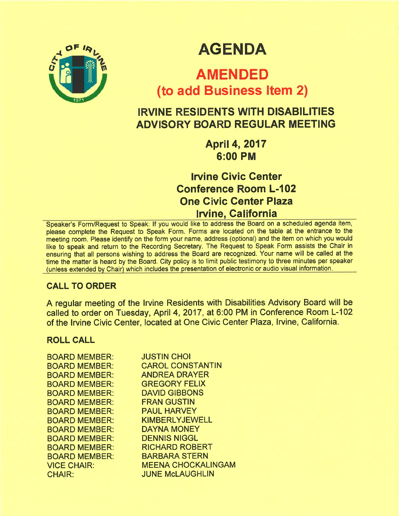

# **AGENDA**

# AMENDED (to add Business ltem 2)

## IRVINE RESIDENTS WITH DISABILITIES ADVISORY BOARD REGULAR MEETING

April 4,2017 6:00 PM

lrvine Givic Genter Conference Room L-102 One Civic Genter Plaza Iwine, California

Speaker's Form/Request to Speak: lf you would like to address the Board on a scheduled agenda item, please complete the Request to Speak Form. Forms are located on the table at the entrance to the meeting room. Please identify on the form your name, address (optional) and the item on which you would like to speak and return to the Recording Secretary. The Request to Speak Form assists the Chair in ensuring that all persons wishing to address the Board are recognized. Your name will be called at the time the matter is heard by the Board. City policy is to limit public testimony to three minutes per speaker (unless extended by Chair) which includes the presentation of electronic or audio visual information

## CALL TO ORDER

A regular meeting of the lrvine Residents with Disabilities Advisory Board will be called to order on Tuesday, April 4,2017, at 6:00 PM in Conference Room L-102 of the Irvine Civic Center, located at One Civic Center Plaza, Irvine, California.

## ROLL CALL

| <b>BOARD MEMBER:</b> | <b>JUSTIN CHOI</b>        |
|----------------------|---------------------------|
| <b>BOARD MEMBER:</b> | <b>CAROL CONSTANTIN</b>   |
| <b>BOARD MEMBER:</b> | <b>ANDREA DRAYER</b>      |
| <b>BOARD MEMBER:</b> | <b>GREGORY FELIX</b>      |
| <b>BOARD MEMBER:</b> | <b>DAVID GIBBONS</b>      |
| <b>BOARD MEMBER:</b> | <b>FRAN GUSTIN</b>        |
| <b>BOARD MEMBER:</b> | <b>PAUL HARVEY</b>        |
| <b>BOARD MEMBER:</b> | <b>KIMBERLYJEWELL</b>     |
| <b>BOARD MEMBER:</b> | <b>DAYNA MONEY</b>        |
| <b>BOARD MEMBER:</b> | <b>DENNIS NIGGL</b>       |
| <b>BOARD MEMBER:</b> | <b>RICHARD ROBERT</b>     |
| <b>BOARD MEMBER:</b> | <b>BARBARA STERN</b>      |
| <b>VICE CHAIR:</b>   | <b>MEENA CHOCKALINGAM</b> |
| <b>CHAIR:</b>        | <b>JUNE McLAUGHLIN</b>    |
|                      |                           |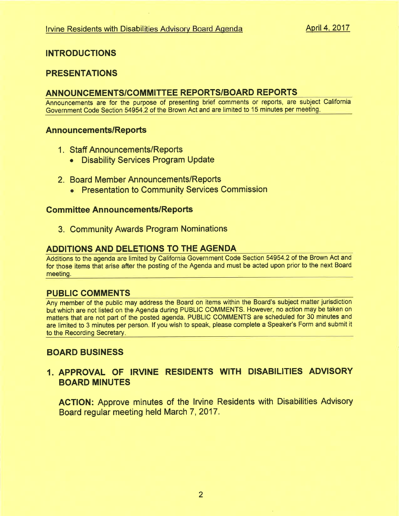## INTRODUCTIONS

## PRESENTATIONS

## ANNOUNCEMENTS/COMMITTEE REPORTS/BOARD REPORTS

Announcements are for the purpose of presenting brief comments or reports, are subject California Government Code Section 54954 2 of the Brown Act and are limited to 15 minutes per meeting

#### Announcements/Reports

- <sup>1</sup>. Staff Announcements/Reports
	- Disability Services Program Update
- 2. Board Member Announcements/Reports
	- Presentation to Community Services Commission

#### **Committee Announcements/Reports**

3. Community Awards Program Nominations

#### ADDITIONS AND DELETIONS TO THE AGENDA

Additions to the agenda are limited by California Government Code Section 54954.2 of the Brown Act and for those items that arise after the posting of the Agenda and must be acted upon prior to the next Board meeting.

#### PUBLIC COMMENTS

Any member of the public may address the Board on items within the Board's subject matter jurisdiction but which are not listed on the Agenda during PUBLIC COMMENTS. However, no action may be taken on matters that are not part of the posted agenda. PUBLIC COMMENTS are scheduled for 30 minutes and are limited to 3 minutes per person. lf you wish to speak, please complete a Speaker's Form and submit it to the Recording Secretary

#### BOARD BUSINESS

## 1. APPROVAL OF IRVINE RESIDENTS WITH DISABILITIES ADVISORY BOARD MINUTES

ACTION: Approve minutes of the lrvine Residents with Disabilities Advisory Board regular meeting held March 7, 2017.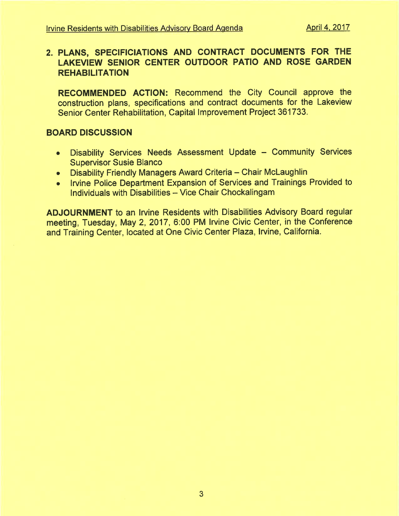## 2. PLANS, SPECIFICIATIONS AND GONTRACT DOCUMENTS FOR THE LAKEVIEW SENIOR CENTER OUTDOOR PATIO AND ROSE GARDEN **REHABILITATION**

RECOMMENDED AGTION: Recommend the City Council approve the construction plans, specifications and contract documents for the Lakeview Senior Center Rehabilitation, Capital lmprovement Project 361733.

## BOARD DISCUSSION

- Disability Services Needs Assessment Update Community Services Supervisor Susie Blanco
- . Disability Friendly Managers Award Criteria Chair McLaughlin
- o lrvine Police Department Expansion of Services and Trainings Provided to Individuals with Disabilities - Vice Chair Chockalingam

ADJOURNMENT to an lrvine Residents with Disabilities Advisory Board regular meeting, Tuesday, May 2, 2017, 6:00 PM Irvine Civic Center, in the Conference and Training Center, located at One Civic Center Plaza, Irvine, California.